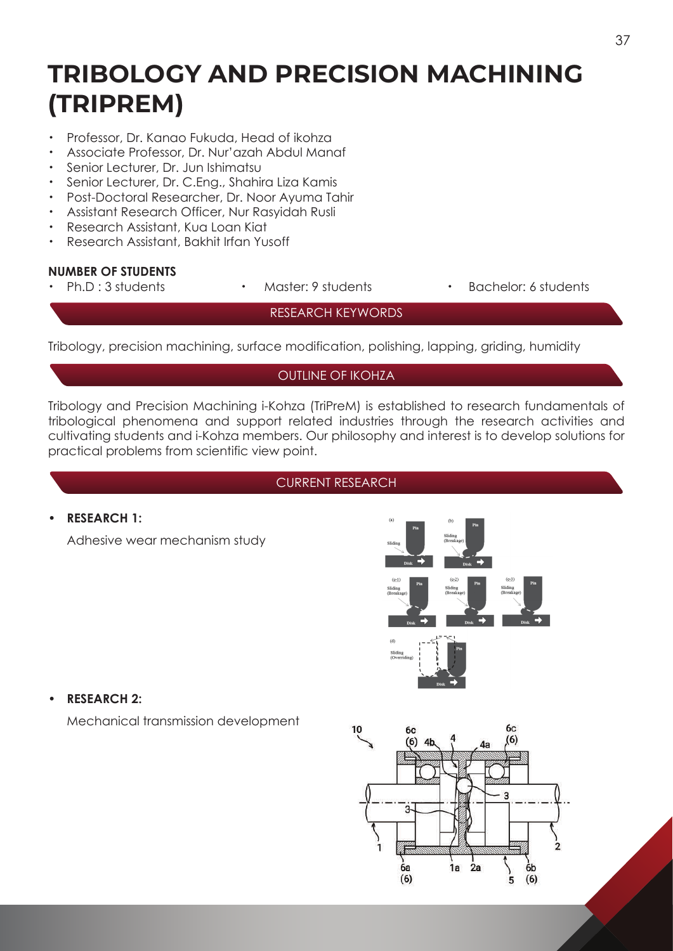# **TRIBOLOGY AND PRECISION MACHINING (TRIPREM)**

- ・ Professor, Dr. Kanao Fukuda, Head of ikohza
- ・ Associate Professor, Dr. Nur'azah Abdul Manaf
- ・ Senior Lecturer, Dr. Jun Ishimatsu
- ・ Senior Lecturer, Dr. C.Eng., Shahira Liza Kamis
- Post-Doctoral Researcher, Dr. Noor Ayuma Tahir
- ・ Assistant Research Officer, Nur Rasyidah Rusli
- Research Assistant, Kua Loan Kiat
- ・ Research Assistant, Bakhit Irfan Yusoff

# **NUMBER OF STUDENTS**

- 
- 
- Master: 9 students · **Bachelor: 6 students**

RESEARCH KEYWORDS

Tribology, precision machining, surface modification, polishing, lapping, griding, humidity

#### OUTLINE OF IKOHZA

Tribology and Precision Machining i-Kohza (TriPreM) is established to research fundamentals of tribological phenomena and support related industries through the research activities and cultivating students and i-Kohza members. Our philosophy and interest is to develop solutions for practical problems from scientific view point.

#### CURRENT RESEARCH

#### **• RESEARCH 1:**

Adhesive wear mechanism study





Mechanical transmission development